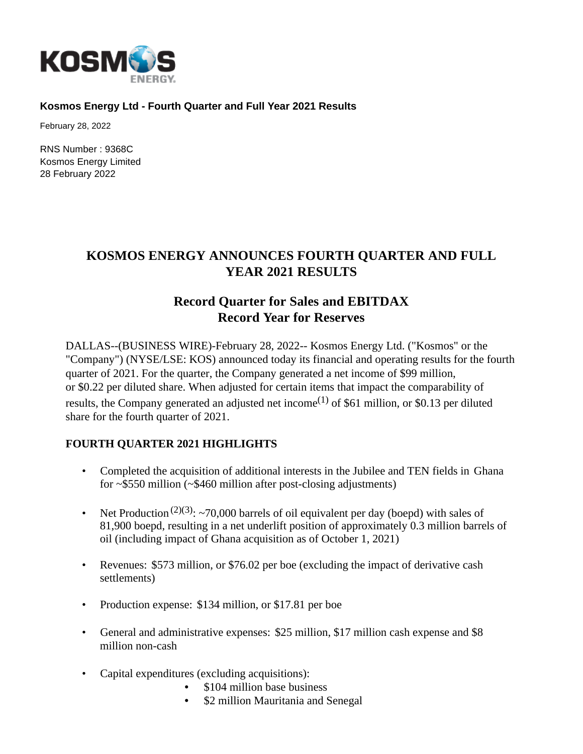

#### **Kosmos Energy Ltd - Fourth Quarter and Full Year 2021 Results**

February 28, 2022

RNS Number : 9368C Kosmos Energy Limited 28 February 2022

# **KOSMOS ENERGY ANNOUNCES FOURTH QUARTER AND FULL YEAR 2021 RESULTS**

# **Record Quarter for Sales and EBITDAX Record Year for Reserves**

DALLAS--(BUSINESS WIRE)-February 28, 2022-- Kosmos Energy Ltd. ("Kosmos" or the "Company") (NYSE/LSE: KOS) announced today its financial and operating results for the fourth quarter of 2021. For the quarter, the Company generated a net income of \$99 million, or \$0.22 per diluted share. When adjusted for certain items that impact the comparability of results, the Company generated an adjusted net income<sup>(1)</sup> of \$61 million, or \$0.13 per diluted share for the fourth quarter of 2021.

### **FOURTH QUARTER 2021 HIGHLIGHTS**

- Completed the acquisition of additional interests in the Jubilee and TEN fields in Ghana for ~\$550 million (~\$460 million after post-closing adjustments)
- Net Production<sup>(2)(3)</sup>: ~70,000 barrels of oil equivalent per day (boepd) with sales of 81,900 boepd, resulting in a net underlift position of approximately 0.3 million barrels of oil (including impact of Ghana acquisition as of October 1, 2021)
- Revenues: \$573 million, or \$76.02 per boe (excluding the impact of derivative cash settlements)
- Production expense: \$134 million, or \$17.81 per boe
- General and administrative expenses: \$25 million, \$17 million cash expense and \$8 million non-cash
- Capital expenditures (excluding acquisitions):
	- \$104 million base business
	- \$2 million Mauritania and Senegal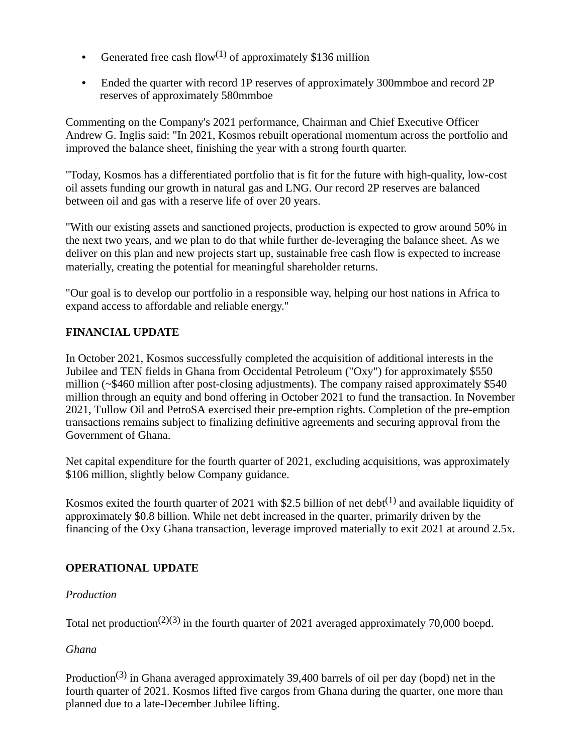- Generated free cash flow<sup>(1)</sup> of approximately \$136 million
- Ended the quarter with record 1P reserves of approximately 300mmboe and record 2P reserves of approximately 580mmboe

Commenting on the Company's 2021 performance, Chairman and Chief Executive Officer Andrew G. Inglis said: "In 2021, Kosmos rebuilt operational momentum across the portfolio and improved the balance sheet, finishing the year with a strong fourth quarter.

"Today, Kosmos has a differentiated portfolio that is fit for the future with high-quality, low-cost oil assets funding our growth in natural gas and LNG. Our record 2P reserves are balanced between oil and gas with a reserve life of over 20 years.

"With our existing assets and sanctioned projects, production is expected to grow around 50% in the next two years, and we plan to do that while further de-leveraging the balance sheet. As we deliver on this plan and new projects start up, sustainable free cash flow is expected to increase materially, creating the potential for meaningful shareholder returns.

"Our goal is to develop our portfolio in a responsible way, helping our host nations in Africa to expand access to affordable and reliable energy."

# **FINANCIAL UPDATE**

In October 2021, Kosmos successfully completed the acquisition of additional interests in the Jubilee and TEN fields in Ghana from Occidental Petroleum ("Oxy") for approximately \$550 million (~\$460 million after post-closing adjustments). The company raised approximately \$540 million through an equity and bond offering in October 2021 to fund the transaction. In November 2021, Tullow Oil and PetroSA exercised their pre-emption rights. Completion of the pre-emption transactions remains subject to finalizing definitive agreements and securing approval from the Government of Ghana.

Net capital expenditure for the fourth quarter of 2021, excluding acquisitions, was approximately \$106 million, slightly below Company guidance.

Kosmos exited the fourth quarter of 2021 with \$2.5 billion of net debt<sup>(1)</sup> and available liquidity of approximately \$0.8 billion. While net debt increased in the quarter, primarily driven by the financing of the Oxy Ghana transaction, leverage improved materially to exit 2021 at around 2.5x.

# **OPERATIONAL UPDATE**

# *Production*

Total net production<sup>(2)(3)</sup> in the fourth quarter of 2021 averaged approximately 70,000 boepd.

# *Ghana*

Production<sup>(3)</sup> in Ghana averaged approximately 39,400 barrels of oil per day (bopd) net in the fourth quarter of 2021. Kosmos lifted five cargos from Ghana during the quarter, one more than planned due to a late-December Jubilee lifting.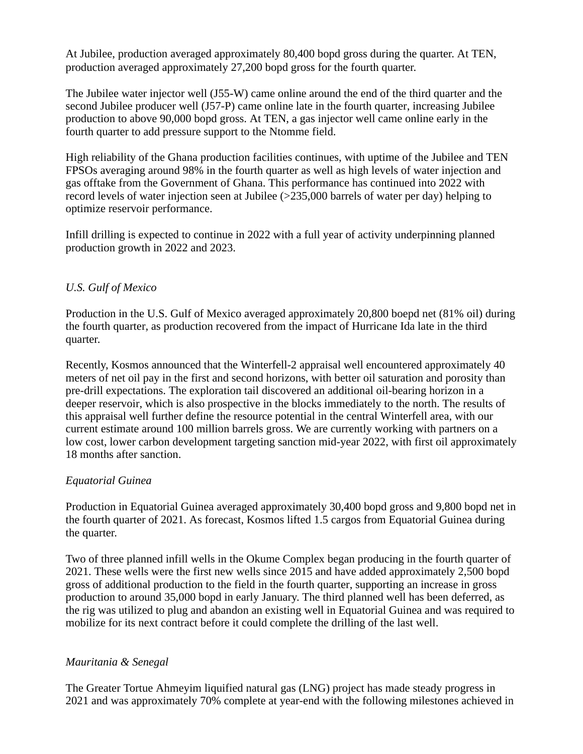At Jubilee, production averaged approximately 80,400 bopd gross during the quarter. At TEN, production averaged approximately 27,200 bopd gross for the fourth quarter.

The Jubilee water injector well (J55-W) came online around the end of the third quarter and the second Jubilee producer well (J57-P) came online late in the fourth quarter, increasing Jubilee production to above 90,000 bopd gross. At TEN, a gas injector well came online early in the fourth quarter to add pressure support to the Ntomme field.

High reliability of the Ghana production facilities continues, with uptime of the Jubilee and TEN FPSOs averaging around 98% in the fourth quarter as well as high levels of water injection and gas offtake from the Government of Ghana. This performance has continued into 2022 with record levels of water injection seen at Jubilee (>235,000 barrels of water per day) helping to optimize reservoir performance.

Infill drilling is expected to continue in 2022 with a full year of activity underpinning planned production growth in 2022 and 2023.

# *U.S. Gulf of Mexico*

Production in the U.S. Gulf of Mexico averaged approximately 20,800 boepd net (81% oil) during the fourth quarter, as production recovered from the impact of Hurricane Ida late in the third quarter.

Recently, Kosmos announced that the Winterfell-2 appraisal well encountered approximately 40 meters of net oil pay in the first and second horizons, with better oil saturation and porosity than pre-drill expectations. The exploration tail discovered an additional oil-bearing horizon in a deeper reservoir, which is also prospective in the blocks immediately to the north. The results of this appraisal well further define the resource potential in the central Winterfell area, with our current estimate around 100 million barrels gross. We are currently working with partners on a low cost, lower carbon development targeting sanction mid-year 2022, with first oil approximately 18 months after sanction.

### *Equatorial Guinea*

Production in Equatorial Guinea averaged approximately 30,400 bopd gross and 9,800 bopd net in the fourth quarter of 2021. As forecast, Kosmos lifted 1.5 cargos from Equatorial Guinea during the quarter.

Two of three planned infill wells in the Okume Complex began producing in the fourth quarter of 2021. These wells were the first new wells since 2015 and have added approximately 2,500 bopd gross of additional production to the field in the fourth quarter, supporting an increase in gross production to around 35,000 bopd in early January. The third planned well has been deferred, as the rig was utilized to plug and abandon an existing well in Equatorial Guinea and was required to mobilize for its next contract before it could complete the drilling of the last well.

### *Mauritania & Senegal*

The Greater Tortue Ahmeyim liquified natural gas (LNG) project has made steady progress in 2021 and was approximately 70% complete at year-end with the following milestones achieved in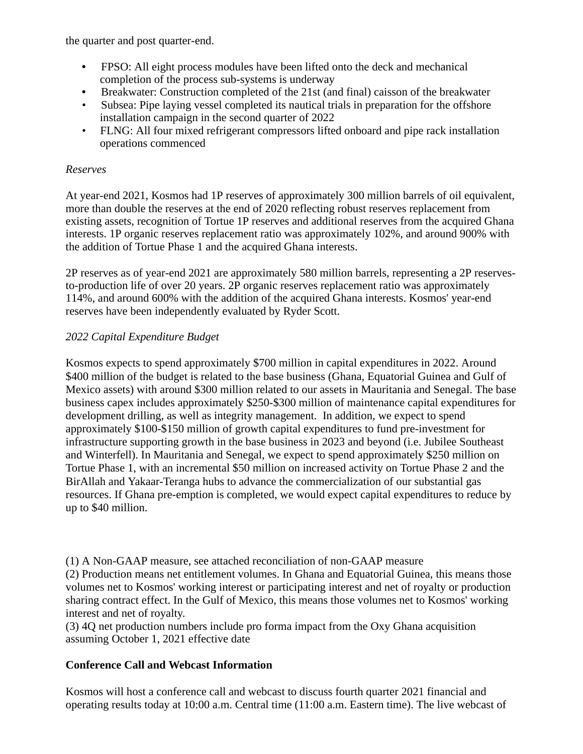the quarter and post quarter-end.

- FPSO: All eight process modules have been lifted onto the deck and mechanical completion of the process sub-systems is underway
- Breakwater: Construction completed of the 21st (and final) caisson of the breakwater
- Subsea: Pipe laying vessel completed its nautical trials in preparation for the offshore installation campaign in the second quarter of 2022
- FLNG: All four mixed refrigerant compressors lifted onboard and pipe rack installation operations commenced

# *Reserves*

At year-end 2021, Kosmos had 1P reserves of approximately 300 million barrels of oil equivalent, more than double the reserves at the end of 2020 reflecting robust reserves replacement from existing assets, recognition of Tortue 1P reserves and additional reserves from the acquired Ghana interests. 1P organic reserves replacement ratio was approximately 102%, and around 900% with the addition of Tortue Phase 1 and the acquired Ghana interests.

2P reserves as of year-end 2021 are approximately 580 million barrels, representing a 2P reservesto-production life of over 20 years. 2P organic reserves replacement ratio was approximately 114%, and around 600% with the addition of the acquired Ghana interests. Kosmos' year-end reserves have been independently evaluated by Ryder Scott.

# *2022 Capital Expenditure Budget*

Kosmos expects to spend approximately \$700 million in capital expenditures in 2022. Around \$400 million of the budget is related to the base business (Ghana, Equatorial Guinea and Gulf of Mexico assets) with around \$300 million related to our assets in Mauritania and Senegal. The base business capex includes approximately \$250-\$300 million of maintenance capital expenditures for development drilling, as well as integrity management. In addition, we expect to spend approximately \$100-\$150 million of growth capital expenditures to fund pre-investment for infrastructure supporting growth in the base business in 2023 and beyond (i.e. Jubilee Southeast and Winterfell). In Mauritania and Senegal, we expect to spend approximately \$250 million on Tortue Phase 1, with an incremental \$50 million on increased activity on Tortue Phase 2 and the BirAllah and Yakaar-Teranga hubs to advance the commercialization of our substantial gas resources. If Ghana pre-emption is completed, we would expect capital expenditures to reduce by up to \$40 million.

(1) A Non-GAAP measure, see attached reconciliation of non-GAAP measure

(2) Production means net entitlement volumes. In Ghana and Equatorial Guinea, this means those volumes net to Kosmos' working interest or participating interest and net of royalty or production sharing contract effect. In the Gulf of Mexico, this means those volumes net to Kosmos' working interest and net of royalty.

(3) 4Q net production numbers include pro forma impact from the Oxy Ghana acquisition assuming October 1, 2021 effective date

# **Conference Call and Webcast Information**

Kosmos will host a conference call and webcast to discuss fourth quarter 2021 financial and operating results today at 10:00 a.m. Central time (11:00 a.m. Eastern time). The live webcast of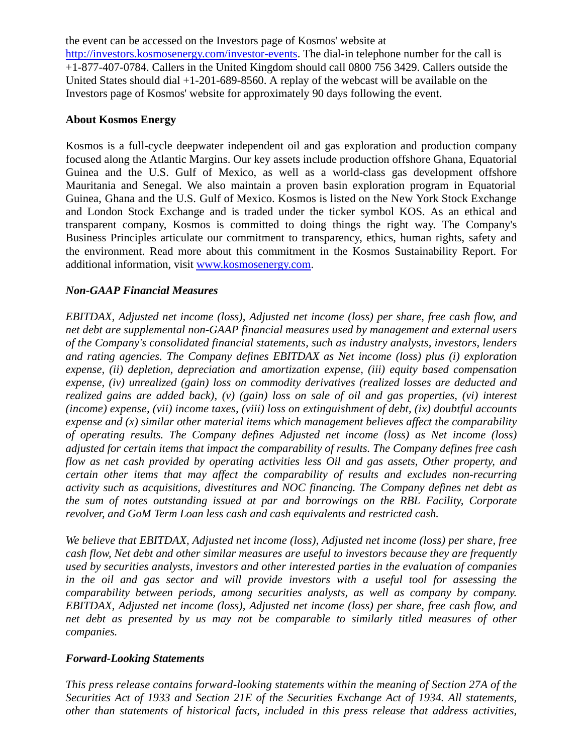the event can be accessed on the Investors page of Kosmos' website at [http://investors.kosmosenergy.com/investor-events.](http://investors.kosmosenergy.com/investor-events) The dial-in telephone number for the call is +1-877-407-0784. Callers in the United Kingdom should call 0800 756 3429. Callers outside the United States should dial +1-201-689-8560. A replay of the webcast will be available on the Investors page of Kosmos' website for approximately 90 days following the event.

#### **About Kosmos Energy**

Kosmos is a full-cycle deepwater independent oil and gas exploration and production company focused along the Atlantic Margins. Our key assets include production offshore Ghana, Equatorial Guinea and the U.S. Gulf of Mexico, as well as a world-class gas development offshore Mauritania and Senegal. We also maintain a proven basin exploration program in Equatorial Guinea, Ghana and the U.S. Gulf of Mexico. Kosmos is listed on the New York Stock Exchange and London Stock Exchange and is traded under the ticker symbol KOS. As an ethical and transparent company, Kosmos is committed to doing things the right way. The Company's Business Principles articulate our commitment to transparency, ethics, human rights, safety and the environment. Read more about this commitment in the Kosmos Sustainability Report. For additional information, visit [www.kosmosenergy.com.](http://www.kosmosenergy.com/)

### *Non-GAAP Financial Measures*

*EBITDAX, Adjusted net income (loss), Adjusted net income (loss) per share, free cash flow, and net debt are supplemental non-GAAP financial measures used by management and external users of the Company's consolidated financial statements, such as industry analysts, investors, lenders and rating agencies. The Company defines EBITDAX as Net income (loss) plus (i) exploration expense, (ii) depletion, depreciation and amortization expense, (iii) equity based compensation expense, (iv) unrealized (gain) loss on commodity derivatives (realized losses are deducted and realized gains are added back), (v) (gain) loss on sale of oil and gas properties, (vi) interest (income) expense, (vii) income taxes, (viii) loss on extinguishment of debt, (ix) doubtful accounts expense and (x) similar other material items which management believes affect the comparability of operating results. The Company defines Adjusted net income (loss) as Net income (loss) adjusted for certain items that impact the comparability of results. The Company defines free cash flow as net cash provided by operating activities less Oil and gas assets, Other property, and certain other items that may affect the comparability of results and excludes non-recurring activity such as acquisitions, divestitures and NOC financing. The Company defines net debt as the sum of notes outstanding issued at par and borrowings on the RBL Facility, Corporate revolver, and GoM Term Loan less cash and cash equivalents and restricted cash.*

*We believe that EBITDAX, Adjusted net income (loss), Adjusted net income (loss) per share, free cash flow, Net debt and other similar measures are useful to investors because they are frequently used by securities analysts, investors and other interested parties in the evaluation of companies in the oil and gas sector and will provide investors with a useful tool for assessing the comparability between periods, among securities analysts, as well as company by company. EBITDAX, Adjusted net income (loss), Adjusted net income (loss) per share, free cash flow, and net debt as presented by us may not be comparable to similarly titled measures of other companies.*

#### *Forward-Looking Statements*

*This press release contains forward-looking statements within the meaning of Section 27A of the Securities Act of 1933 and Section 21E of the Securities Exchange Act of 1934. All statements, other than statements of historical facts, included in this press release that address activities,*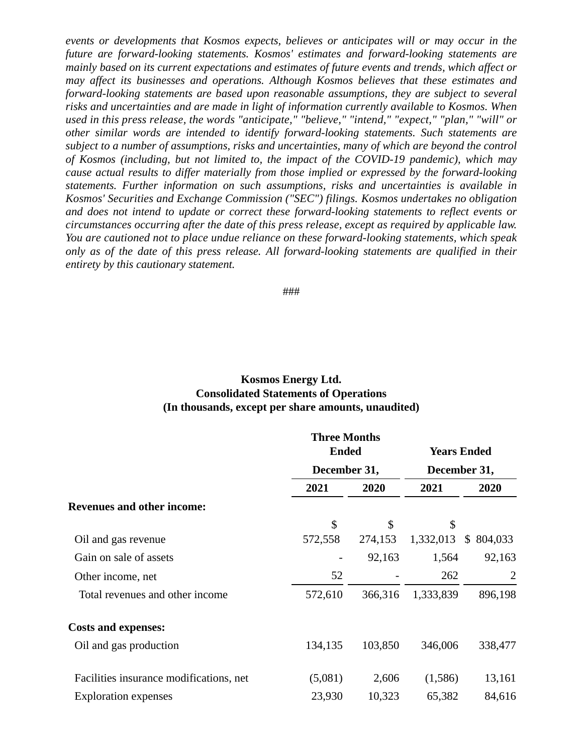*events or developments that Kosmos expects, believes or anticipates will or may occur in the future are forward-looking statements. Kosmos' estimates and forward-looking statements are mainly based on its current expectations and estimates of future events and trends, which affect or may affect its businesses and operations. Although Kosmos believes that these estimates and forward-looking statements are based upon reasonable assumptions, they are subject to several risks and uncertainties and are made in light of information currently available to Kosmos. When used in this press release, the words "anticipate," "believe," "intend," "expect," "plan," "will" or other similar words are intended to identify forward-looking statements. Such statements are subject to a number of assumptions, risks and uncertainties, many of which are beyond the control of Kosmos (including, but not limited to, the impact of the COVID-19 pandemic), which may cause actual results to differ materially from those implied or expressed by the forward-looking statements. Further information on such assumptions, risks and uncertainties is available in Kosmos' Securities and Exchange Commission ("SEC") filings. Kosmos undertakes no obligation and does not intend to update or correct these forward-looking statements to reflect events or circumstances occurring after the date of this press release, except as required by applicable law. You are cautioned not to place undue reliance on these forward-looking statements, which speak only as of the date of this press release. All forward-looking statements are qualified in their entirety by this cautionary statement.*

###

### **Kosmos Energy Ltd. Consolidated Statements of Operations (In thousands, except per share amounts, unaudited)**

|                                         | <b>Three Months</b> |         |                                    |                          |  |
|-----------------------------------------|---------------------|---------|------------------------------------|--------------------------|--|
|                                         | <b>Ended</b>        |         | <b>Years Ended</b><br>December 31, |                          |  |
|                                         | December 31,        |         |                                    |                          |  |
|                                         | 2021                | 2020    | 2021                               | 2020                     |  |
| <b>Revenues and other income:</b>       |                     |         |                                    |                          |  |
|                                         | \$                  | \$      | \$                                 |                          |  |
| Oil and gas revenue                     | 572,558             | 274,153 | 1,332,013                          | $\mathcal{S}$<br>804,033 |  |
| Gain on sale of assets                  |                     | 92,163  | 1,564                              | 92,163                   |  |
| Other income, net                       | 52                  |         | 262                                | $\overline{2}$           |  |
| Total revenues and other income         | 572,610             | 366,316 | 1,333,839                          | 896,198                  |  |
| <b>Costs and expenses:</b>              |                     |         |                                    |                          |  |
| Oil and gas production                  | 134,135             | 103,850 | 346,006                            | 338,477                  |  |
| Facilities insurance modifications, net | (5,081)             | 2,606   | (1,586)                            | 13,161                   |  |
| <b>Exploration</b> expenses             | 23,930              | 10,323  | 65,382                             | 84,616                   |  |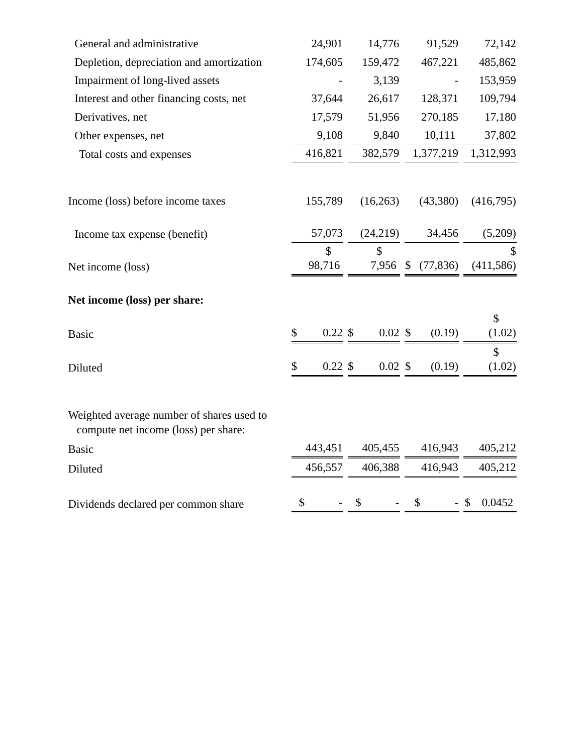| General and administrative                                                        | 24,901                 | 14,776                                   | 91,529    | 72,142                  |
|-----------------------------------------------------------------------------------|------------------------|------------------------------------------|-----------|-------------------------|
| Depletion, depreciation and amortization                                          | 174,605                | 159,472                                  | 467,221   | 485,862                 |
| Impairment of long-lived assets                                                   |                        | 3,139                                    |           | 153,959                 |
| Interest and other financing costs, net                                           | 37,644                 | 26,617                                   | 128,371   | 109,794                 |
| Derivatives, net                                                                  | 17,579                 | 51,956                                   | 270,185   | 17,180                  |
| Other expenses, net                                                               | 9,108                  | 9,840                                    | 10,111    | 37,802                  |
| Total costs and expenses                                                          | 416,821                | 382,579                                  | 1,377,219 | 1,312,993               |
| Income (loss) before income taxes                                                 | 155,789                | (16,263)                                 | (43,380)  | (416,795)               |
| Income tax expense (benefit)                                                      | 57,073                 | (24,219)                                 | 34,456    | (5,209)                 |
| Net income (loss)                                                                 | $\mathbb{S}$<br>98,716 | $\mathsf{\$}$<br>7,956 \$                | (77, 836) | \$<br>(411,586)         |
| Net income (loss) per share:                                                      |                        |                                          |           |                         |
| <b>Basic</b>                                                                      | \$                     | $0.22$ \$<br>$0.02 \text{ }$ \$          | (0.19)    | \$<br>(1.02)            |
| Diluted                                                                           | \$                     | $0.22 \text{ }$ \$<br>$0.02 \text{ }$ \$ | (0.19)    | $\mathcal{S}$<br>(1.02) |
| Weighted average number of shares used to<br>compute net income (loss) per share: |                        |                                          |           |                         |
| <b>Basic</b>                                                                      | 443,451                | 405,455                                  | 416,943   | 405,212                 |
| Diluted                                                                           | 456,557                | 406,388                                  | 416,943   | 405,212                 |
| Dividends declared per common share                                               | \$                     | \$                                       | \$        | 0.0452<br>$-$ \$        |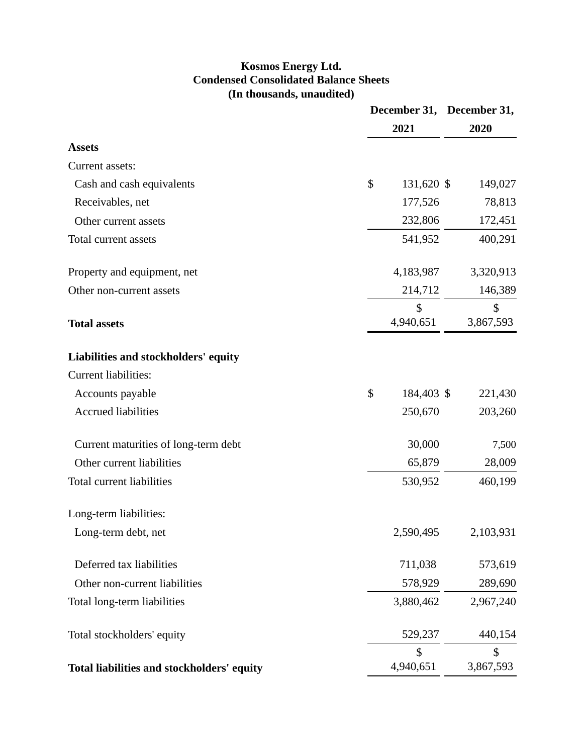# **Kosmos Energy Ltd. Condensed Consolidated Balance Sheets (In thousands, unaudited)**

|                                            | 2021             | December 31, December 31,<br>2020 |
|--------------------------------------------|------------------|-----------------------------------|
| <b>Assets</b>                              |                  |                                   |
| Current assets:                            |                  |                                   |
| Cash and cash equivalents                  | \$<br>131,620 \$ | 149,027                           |
| Receivables, net                           | 177,526          | 78,813                            |
| Other current assets                       | 232,806          | 172,451                           |
| Total current assets                       | 541,952          | 400,291                           |
| Property and equipment, net                | 4,183,987        | 3,320,913                         |
| Other non-current assets                   | 214,712          | 146,389                           |
|                                            | \$               | \$                                |
| <b>Total assets</b>                        | 4,940,651        | 3,867,593                         |
| Liabilities and stockholders' equity       |                  |                                   |
| <b>Current liabilities:</b>                |                  |                                   |
| Accounts payable                           | \$<br>184,403 \$ | 221,430                           |
| <b>Accrued liabilities</b>                 | 250,670          | 203,260                           |
| Current maturities of long-term debt       | 30,000           | 7,500                             |
| Other current liabilities                  | 65,879           | 28,009                            |
| Total current liabilities                  | 530,952          | 460,199                           |
| Long-term liabilities:                     |                  |                                   |
| Long-term debt, net                        | 2,590,495        | 2,103,931                         |
| Deferred tax liabilities                   | 711,038          | 573,619                           |
| Other non-current liabilities              | 578,929          | 289,690                           |
| Total long-term liabilities                | 3,880,462        | 2,967,240                         |
| Total stockholders' equity                 | 529,237          | 440,154                           |
|                                            | \$               | \$                                |
| Total liabilities and stockholders' equity | 4,940,651        | 3,867,593                         |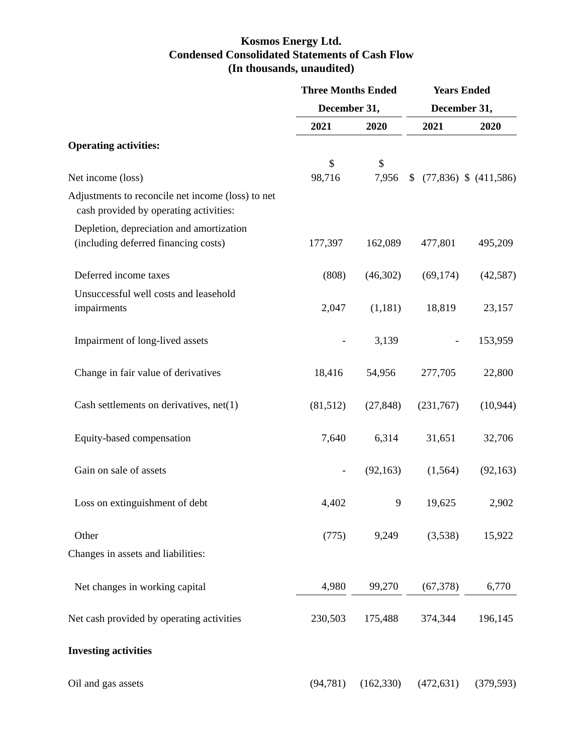# **Kosmos Energy Ltd. Condensed Consolidated Statements of Cash Flow (In thousands, unaudited)**

|                                                                                             | <b>Three Months Ended</b> |            | <b>Years Ended</b> |                           |  |
|---------------------------------------------------------------------------------------------|---------------------------|------------|--------------------|---------------------------|--|
|                                                                                             | December 31,              |            | December 31,       |                           |  |
|                                                                                             | 2021                      | 2020       | 2021               | 2020                      |  |
| <b>Operating activities:</b>                                                                |                           |            |                    |                           |  |
|                                                                                             | $\mathcal{S}$             | \$         |                    |                           |  |
| Net income (loss)                                                                           | 98,716                    | 7,956      | \$                 | $(77,836)$ \$ $(411,586)$ |  |
| Adjustments to reconcile net income (loss) to net<br>cash provided by operating activities: |                           |            |                    |                           |  |
| Depletion, depreciation and amortization                                                    |                           |            |                    |                           |  |
| (including deferred financing costs)                                                        | 177,397                   | 162,089    | 477,801            | 495,209                   |  |
| Deferred income taxes                                                                       | (808)                     | (46,302)   | (69, 174)          | (42, 587)                 |  |
| Unsuccessful well costs and leasehold<br>impairments                                        | 2,047                     | (1,181)    | 18,819             | 23,157                    |  |
|                                                                                             |                           |            |                    |                           |  |
| Impairment of long-lived assets                                                             |                           | 3,139      |                    | 153,959                   |  |
| Change in fair value of derivatives                                                         | 18,416                    | 54,956     | 277,705            | 22,800                    |  |
| Cash settlements on derivatives, $net(1)$                                                   | (81,512)                  | (27, 848)  | (231,767)          | (10, 944)                 |  |
| Equity-based compensation                                                                   | 7,640                     | 6,314      | 31,651             | 32,706                    |  |
| Gain on sale of assets                                                                      | $\overline{\phantom{a}}$  | (92, 163)  | (1, 564)           | (92, 163)                 |  |
| Loss on extinguishment of debt                                                              | 4,402                     | 9          | 19,625             | 2,902                     |  |
| Other                                                                                       | (775)                     | 9,249      | (3,538)            | 15,922                    |  |
| Changes in assets and liabilities:                                                          |                           |            |                    |                           |  |
| Net changes in working capital                                                              | 4,980                     | 99,270     | (67, 378)          | 6,770                     |  |
| Net cash provided by operating activities                                                   | 230,503                   | 175,488    | 374,344            | 196,145                   |  |
| <b>Investing activities</b>                                                                 |                           |            |                    |                           |  |
| Oil and gas assets                                                                          | (94, 781)                 | (162, 330) | (472, 631)         | (379, 593)                |  |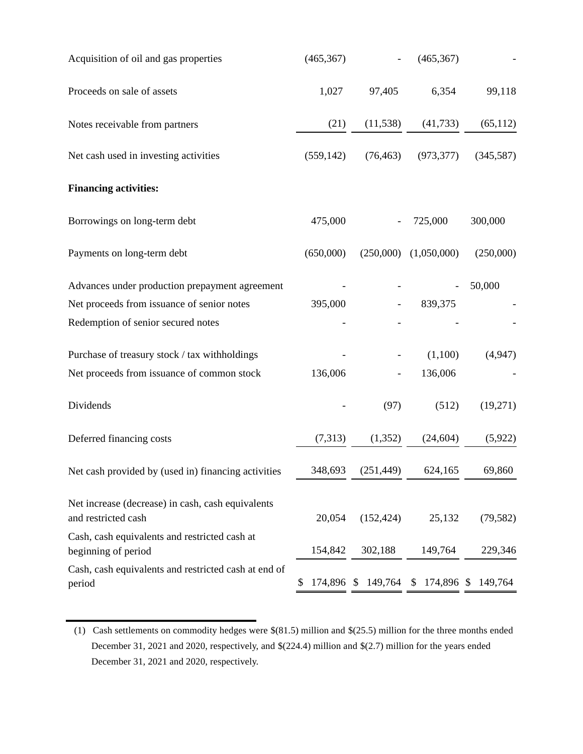| Acquisition of oil and gas properties                                    | (465, 367) |                          | (465, 367)    |            |
|--------------------------------------------------------------------------|------------|--------------------------|---------------|------------|
| Proceeds on sale of assets                                               | 1,027      | 97,405                   | 6,354         | 99,118     |
| Notes receivable from partners                                           | (21)       | (11, 538)                | (41, 733)     | (65, 112)  |
| Net cash used in investing activities                                    | (559, 142) | (76, 463)                | (973, 377)    | (345, 587) |
| <b>Financing activities:</b>                                             |            |                          |               |            |
| Borrowings on long-term debt                                             | 475,000    |                          | 725,000       | 300,000    |
| Payments on long-term debt                                               | (650,000)  | (250,000)                | (1,050,000)   | (250,000)  |
| Advances under production prepayment agreement                           |            |                          |               | 50,000     |
| Net proceeds from issuance of senior notes                               | 395,000    |                          | 839,375       |            |
| Redemption of senior secured notes                                       |            |                          |               |            |
| Purchase of treasury stock / tax withholdings                            |            |                          | (1,100)       | (4,947)    |
| Net proceeds from issuance of common stock                               | 136,006    | $\overline{\phantom{a}}$ | 136,006       |            |
| Dividends                                                                |            | (97)                     | (512)         | (19,271)   |
| Deferred financing costs                                                 | (7,313)    | (1, 352)                 | (24, 604)     | (5,922)    |
| Net cash provided by (used in) financing activities                      | 348,693    | (251, 449)               | 624,165       | 69,860     |
| Net increase (decrease) in cash, cash equivalents<br>and restricted cash | 20,054     | (152, 424)               | 25,132        | (79, 582)  |
| Cash, cash equivalents and restricted cash at<br>beginning of period     | 154,842    | 302,188                  | 149,764       | 229,346    |
| Cash, cash equivalents and restricted cash at end of<br>period           | \$         | 174,896 \$ 149,764       | $$174,896$ \$ | 149,764    |
|                                                                          |            |                          |               |            |

<sup>(1)</sup> Cash settlements on commodity hedges were \$(81.5) million and \$(25.5) million for the three months ended December 31, 2021 and 2020, respectively, and \$(224.4) million and \$(2.7) million for the years ended December 31, 2021 and 2020, respectively.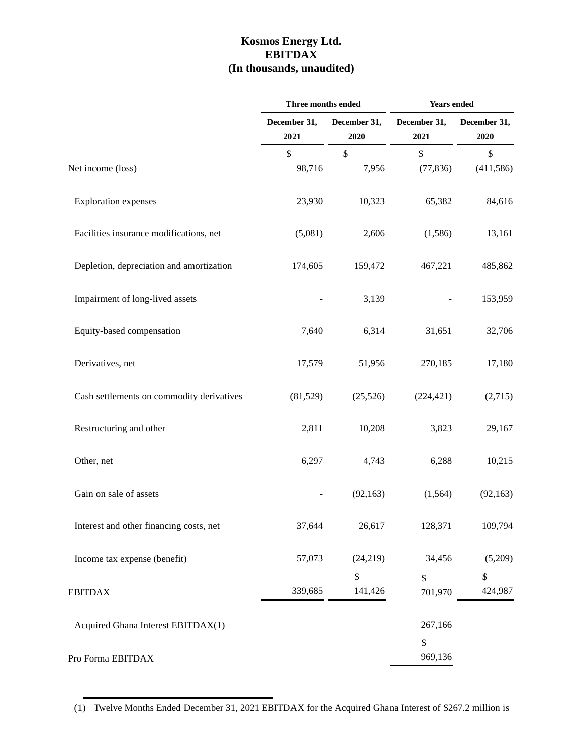# **Kosmos Energy Ltd. EBITDAX (In thousands, unaudited)**

|                                           | Three months ended   |                      | Years ended          |                          |  |
|-------------------------------------------|----------------------|----------------------|----------------------|--------------------------|--|
|                                           | December 31,<br>2021 | December 31,<br>2020 | December 31,<br>2021 | December 31,<br>2020     |  |
| Net income (loss)                         | \$<br>98,716         | \$<br>7,956          | \$<br>(77, 836)      | \$<br>(411, 586)         |  |
| <b>Exploration</b> expenses               | 23,930               | 10,323               | 65,382               | 84,616                   |  |
| Facilities insurance modifications, net   | (5,081)              | 2,606                | (1,586)              | 13,161                   |  |
| Depletion, depreciation and amortization  | 174,605              | 159,472              | 467,221              | 485,862                  |  |
| Impairment of long-lived assets           |                      | 3,139                |                      | 153,959                  |  |
| Equity-based compensation                 | 7,640                | 6,314                | 31,651               | 32,706                   |  |
| Derivatives, net                          | 17,579               | 51,956               | 270,185              | 17,180                   |  |
| Cash settlements on commodity derivatives | (81,529)             | (25,526)             | (224, 421)           | (2,715)                  |  |
| Restructuring and other                   | 2,811                | 10,208               | 3,823                | 29,167                   |  |
| Other, net                                | 6,297                | 4,743                | 6,288                | 10,215                   |  |
| Gain on sale of assets                    |                      | (92, 163)            | (1,564)              | (92, 163)                |  |
| Interest and other financing costs, net   | 37,644               | 26,617               | 128,371              | 109,794                  |  |
| Income tax expense (benefit)              | 57,073               | (24, 219)            | 34,456               | (5,209)                  |  |
| <b>EBITDAX</b>                            | 339,685              | \$<br>141,426        | \$<br>701,970        | $\mathsf{\$}$<br>424,987 |  |
| Acquired Ghana Interest EBITDAX(1)        |                      |                      | 267,166              |                          |  |
| Pro Forma EBITDAX                         |                      |                      | \$<br>969,136        |                          |  |

(1) Twelve Months Ended December 31, 2021 EBITDAX for the Acquired Ghana Interest of \$267.2 million is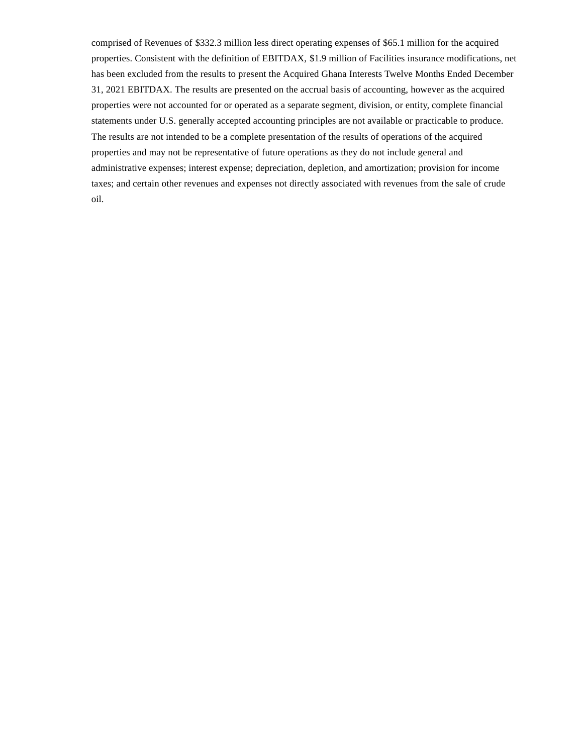comprised of Revenues of \$332.3 million less direct operating expenses of \$65.1 million for the acquired properties. Consistent with the definition of EBITDAX, \$1.9 million of Facilities insurance modifications, net has been excluded from the results to present the Acquired Ghana Interests Twelve Months Ended December 31, 2021 EBITDAX. The results are presented on the accrual basis of accounting, however as the acquired properties were not accounted for or operated as a separate segment, division, or entity, complete financial statements under U.S. generally accepted accounting principles are not available or practicable to produce. The results are not intended to be a complete presentation of the results of operations of the acquired properties and may not be representative of future operations as they do not include general and administrative expenses; interest expense; depreciation, depletion, and amortization; provision for income taxes; and certain other revenues and expenses not directly associated with revenues from the sale of crude oil.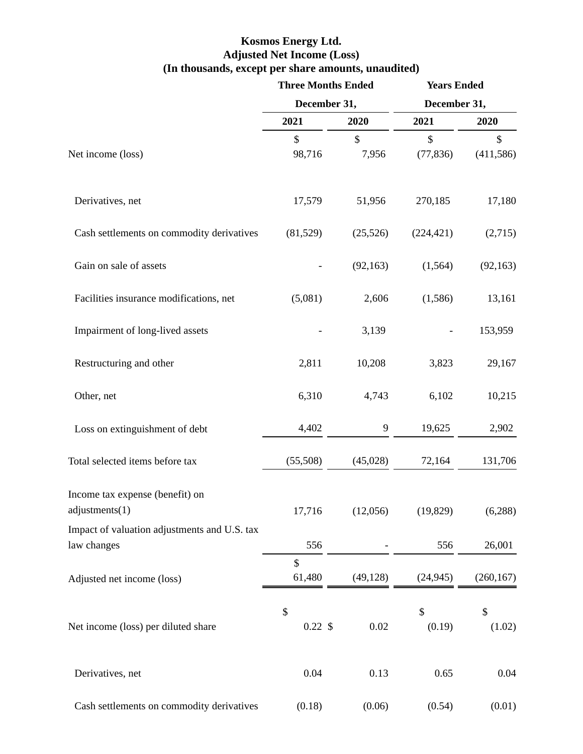### **Kosmos Energy Ltd. Adjusted Net Income (Loss) (In thousands, except per share amounts, unaudited)**

|                                                             | <b>Three Months Ended</b> |             | <b>Years Ended</b><br>December 31, |                  |  |
|-------------------------------------------------------------|---------------------------|-------------|------------------------------------|------------------|--|
|                                                             | December 31,              |             |                                    |                  |  |
|                                                             | 2021                      | 2020        | 2021                               | 2020             |  |
| Net income (loss)                                           | \$<br>98,716              | \$<br>7,956 | \$<br>(77, 836)                    | \$<br>(411, 586) |  |
| Derivatives, net                                            | 17,579                    | 51,956      | 270,185                            | 17,180           |  |
| Cash settlements on commodity derivatives                   | (81,529)                  | (25, 526)   | (224, 421)                         | (2,715)          |  |
| Gain on sale of assets                                      |                           | (92, 163)   | (1, 564)                           | (92, 163)        |  |
| Facilities insurance modifications, net                     | (5,081)                   | 2,606       | (1,586)                            | 13,161           |  |
| Impairment of long-lived assets                             |                           | 3,139       |                                    | 153,959          |  |
| Restructuring and other                                     | 2,811                     | 10,208      | 3,823                              | 29,167           |  |
| Other, net                                                  | 6,310                     | 4,743       | 6,102                              | 10,215           |  |
| Loss on extinguishment of debt                              | 4,402                     | 9           | 19,625                             | 2,902            |  |
| Total selected items before tax                             | (55,508)                  | (45,028)    | 72,164                             | 131,706          |  |
| Income tax expense (benefit) on<br>adjustments(1)           | 17,716                    | (12,056)    | (19, 829)                          | (6,288)          |  |
| Impact of valuation adjustments and U.S. tax<br>law changes | 556                       |             | 556                                | 26,001           |  |
| Adjusted net income (loss)                                  | \$<br>61,480              | (49, 128)   | (24, 945)                          | (260, 167)       |  |
| Net income (loss) per diluted share                         | \$<br>$0.22 \text{ }$ \$  | 0.02        | \$<br>(0.19)                       | \$<br>(1.02)     |  |
| Derivatives, net                                            | 0.04                      | 0.13        | 0.65                               | 0.04             |  |
| Cash settlements on commodity derivatives                   | (0.18)                    | (0.06)      | (0.54)                             | (0.01)           |  |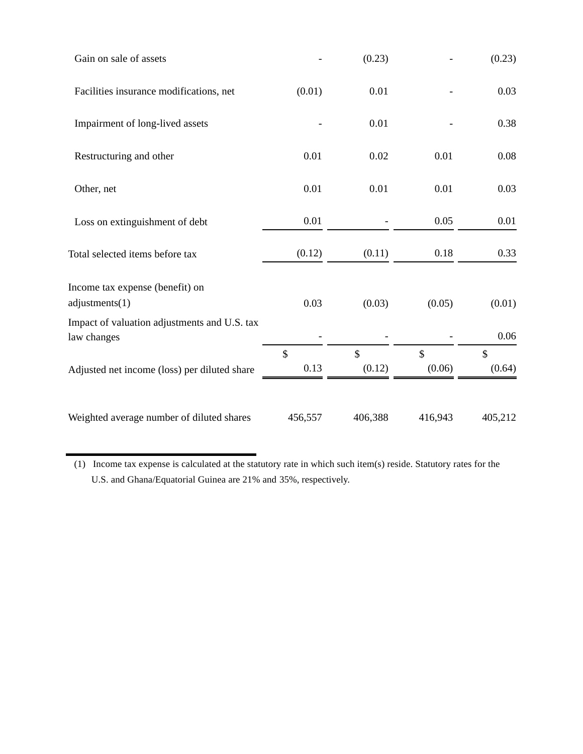| Gain on sale of assets                                      |            | (0.23)                  |                         | (0.23)                  |
|-------------------------------------------------------------|------------|-------------------------|-------------------------|-------------------------|
| Facilities insurance modifications, net                     | (0.01)     | 0.01                    |                         | 0.03                    |
| Impairment of long-lived assets                             |            | 0.01                    |                         | 0.38                    |
| Restructuring and other                                     | 0.01       | 0.02                    | 0.01                    | 0.08                    |
| Other, net                                                  | 0.01       | 0.01                    | 0.01                    | 0.03                    |
| Loss on extinguishment of debt                              | 0.01       |                         | 0.05                    | 0.01                    |
| Total selected items before tax                             | (0.12)     | (0.11)                  | 0.18                    | 0.33                    |
| Income tax expense (benefit) on<br>adjustments(1)           | 0.03       | (0.03)                  | (0.05)                  | (0.01)                  |
| Impact of valuation adjustments and U.S. tax<br>law changes |            |                         |                         | 0.06                    |
| Adjusted net income (loss) per diluted share                | \$<br>0.13 | $\mathcal{S}$<br>(0.12) | $\mathcal{S}$<br>(0.06) | $\mathcal{S}$<br>(0.64) |
| Weighted average number of diluted shares                   | 456,557    | 406,388                 | 416,943                 | 405,212                 |

(1) Income tax expense is calculated at the statutory rate in which such item(s) reside. Statutory rates for the U.S. and Ghana/Equatorial Guinea are 21% and 35%, respectively.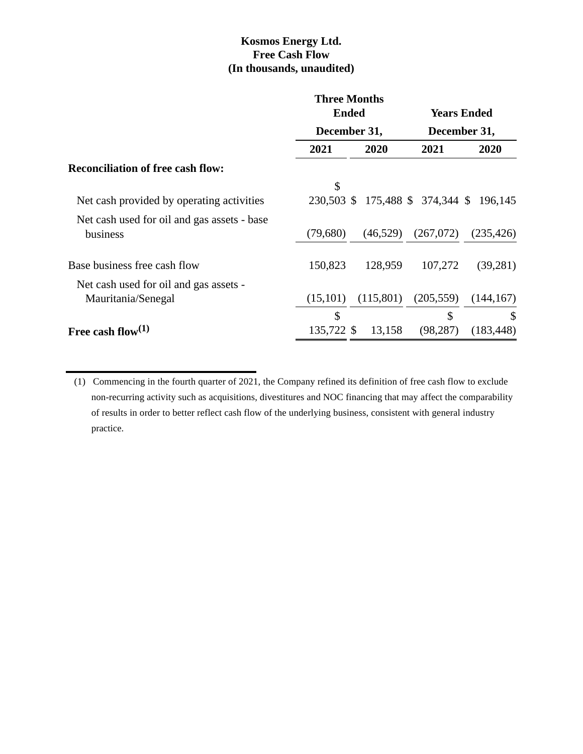# **Kosmos Energy Ltd. Free Cash Flow (In thousands, unaudited)**

|                                                         | <b>Three Months</b><br><b>Ended</b> |              |                               | <b>Years Ended</b> |  |
|---------------------------------------------------------|-------------------------------------|--------------|-------------------------------|--------------------|--|
|                                                         |                                     | December 31, |                               | December 31,       |  |
|                                                         | 2021                                | 2020         | 2021                          | 2020               |  |
| <b>Reconciliation of free cash flow:</b>                |                                     |              |                               |                    |  |
|                                                         | \$                                  |              |                               |                    |  |
| Net cash provided by operating activities               | 230,503 \$                          |              | 175,488 \$ 374,344 \$ 196,145 |                    |  |
| Net cash used for oil and gas assets - base<br>business | (79,680)                            | (46,529)     | (267,072)                     | (235, 426)         |  |
| Base business free cash flow                            | 150,823                             | 128,959      | 107,272                       | (39, 281)          |  |
| Net cash used for oil and gas assets -                  |                                     |              |                               |                    |  |
| Mauritania/Senegal                                      | (15,101)                            | (115,801)    | (205, 559)                    | (144, 167)         |  |
|                                                         | \$                                  |              | \$                            | $\mathcal{S}$      |  |
| Free cash flow $(1)$                                    | 135,722 \$                          | 13,158       | (98, 287)                     | (183, 448)         |  |

<sup>(1)</sup> Commencing in the fourth quarter of 2021, the Company refined its definition of free cash flow to exclude non-recurring activity such as acquisitions, divestitures and NOC financing that may affect the comparability of results in order to better reflect cash flow of the underlying business, consistent with general industry practice.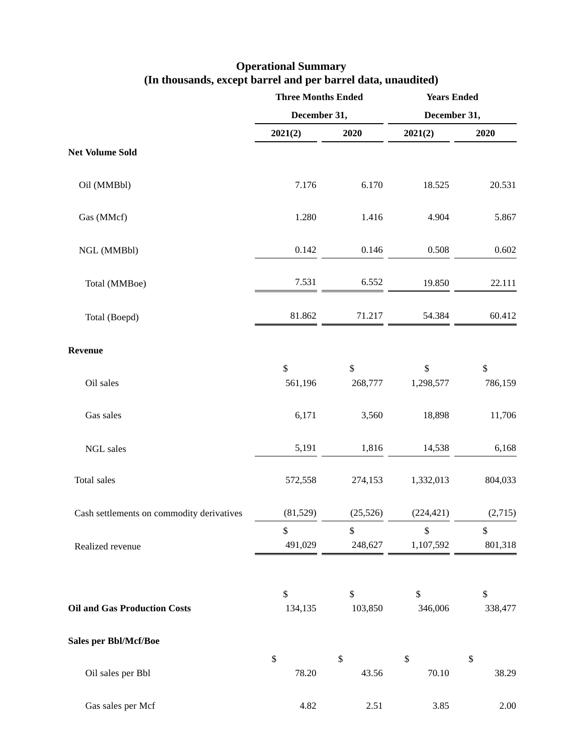### **Operational Summary (In thousands, except barrel and per barrel data, unaudited)**

|                                           | <b>Three Months Ended</b> |                          | <b>Years Ended</b> |               |  |
|-------------------------------------------|---------------------------|--------------------------|--------------------|---------------|--|
|                                           | December 31,              |                          | December 31,       |               |  |
|                                           | 2021(2)                   | 2020                     | 2021(2)            | 2020          |  |
| <b>Net Volume Sold</b>                    |                           |                          |                    |               |  |
| Oil (MMBbl)                               | 7.176                     | 6.170                    | 18.525             | 20.531        |  |
| Gas (MMcf)                                | 1.280                     | 1.416                    | 4.904              | 5.867         |  |
| NGL (MMBbl)                               | 0.142                     | 0.146                    | 0.508              | 0.602         |  |
| Total (MMBoe)                             | 7.531                     | 6.552                    | 19.850             | 22.111        |  |
| Total (Boepd)                             | 81.862                    | 71.217                   | 54.384             | 60.412        |  |
| Revenue                                   |                           |                          |                    |               |  |
| Oil sales                                 | \$<br>561,196             | $\$$<br>268,777          | \$<br>1,298,577    | \$<br>786,159 |  |
| Gas sales                                 | 6,171                     | 3,560                    | 18,898             | 11,706        |  |
| NGL sales                                 | 5,191                     | 1,816                    | 14,538             | 6,168         |  |
| Total sales                               | 572,558                   | 274,153                  | 1,332,013          | 804,033       |  |
| Cash settlements on commodity derivatives | (81, 529)                 | (25, 526)                | (224, 421)         | (2,715)       |  |
|                                           | \$                        | $\mathcal{S}$            | $\mathsf{\$}$      | \$            |  |
| Realized revenue                          | 491,029                   | 248,627                  | 1,107,592          | 801,318       |  |
| <b>Oil and Gas Production Costs</b>       | \$<br>134,135             | $\mathcal{S}$<br>103,850 | \$<br>346,006      | \$<br>338,477 |  |
| <b>Sales per Bbl/Mcf/Boe</b>              |                           |                          |                    |               |  |
|                                           | $\boldsymbol{\mathsf{S}}$ | $\mathcal{S}$            | \$                 | $\mathcal{S}$ |  |
| Oil sales per Bbl                         | 78.20                     | 43.56                    | 70.10              | 38.29         |  |
| Gas sales per Mcf                         | 4.82                      | 2.51                     | 3.85               | 2.00          |  |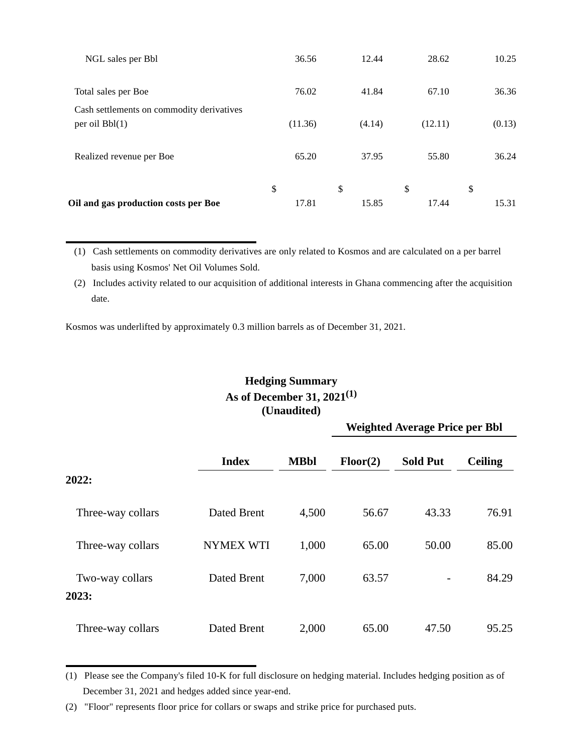| Oil and gas production costs per Boe                          | \$<br>17.81 | \$<br>15.85 | \$<br>17.44 | \$<br>15.31 |
|---------------------------------------------------------------|-------------|-------------|-------------|-------------|
| Realized revenue per Boe                                      | 65.20       | 37.95       | 55.80       | 36.24       |
| Cash settlements on commodity derivatives<br>per oil $Bbl(1)$ | (11.36)     | (4.14)      | (12.11)     | (0.13)      |
| Total sales per Boe                                           | 76.02       | 41.84       | 67.10       | 36.36       |
| NGL sales per Bbl                                             | 36.56       | 12.44       | 28.62       | 10.25       |

(1) Cash settlements on commodity derivatives are only related to Kosmos and are calculated on a per barrel basis using Kosmos' Net Oil Volumes Sold.

(2) Includes activity related to our acquisition of additional interests in Ghana commencing after the acquisition date.

Kosmos was underlifted by approximately 0.3 million barrels as of December 31, 2021.

# **Hedging Summary As of December 31, 2021(1) (Unaudited)**

**Weighted Average Price per Bbl**

|                          |                    |             | 70 T     |                 |                |  |
|--------------------------|--------------------|-------------|----------|-----------------|----------------|--|
|                          | <b>Index</b>       | <b>MBbl</b> | Floor(2) | <b>Sold Put</b> | <b>Ceiling</b> |  |
| 2022:                    |                    |             |          |                 |                |  |
| Three-way collars        | Dated Brent        | 4,500       | 56.67    | 43.33           | 76.91          |  |
| Three-way collars        | <b>NYMEX WTI</b>   | 1,000       | 65.00    | 50.00           | 85.00          |  |
| Two-way collars<br>2023: | Dated Brent        | 7,000       | 63.57    |                 | 84.29          |  |
|                          |                    |             |          |                 |                |  |
| Three-way collars        | <b>Dated Brent</b> | 2,000       | 65.00    | 47.50           | 95.25          |  |

<sup>(1)</sup> Please see the Company's filed 10-K for full disclosure on hedging material. Includes hedging position as of December 31, 2021 and hedges added since year-end.

<sup>(2) &</sup>quot;Floor" represents floor price for collars or swaps and strike price for purchased puts.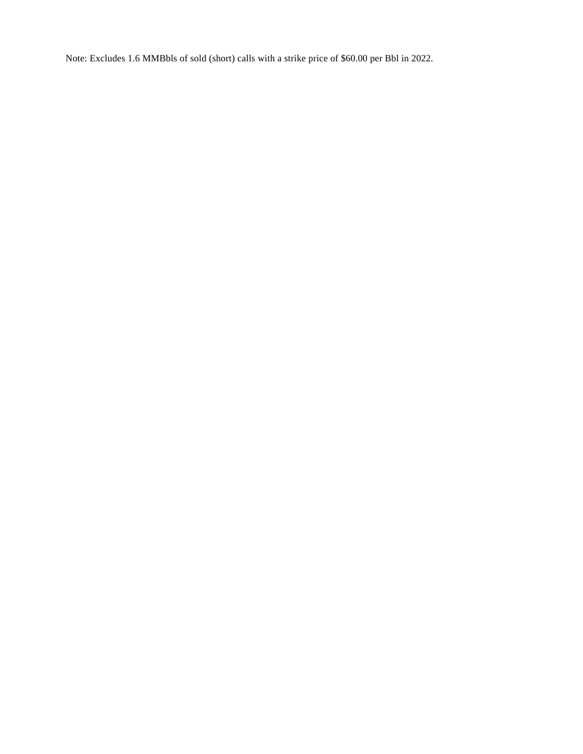Note: Excludes 1.6 MMBbls of sold (short) calls with a strike price of \$60.00 per Bbl in 2022.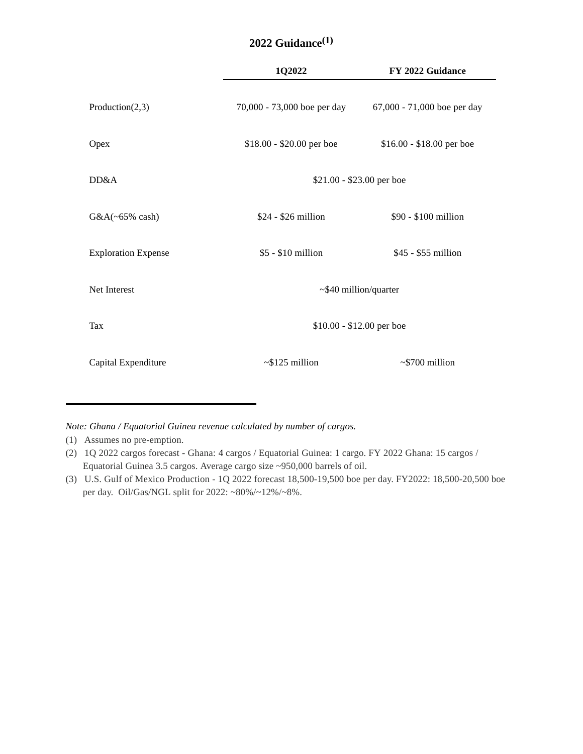|                            | 1Q2022                      | FY 2022 Guidance            |
|----------------------------|-----------------------------|-----------------------------|
| Production $(2,3)$         | 70,000 - 73,000 boe per day | 67,000 - 71,000 boe per day |
| Opex                       | $$18.00 - $20.00$ per boe   | \$16.00 - \$18.00 per boe   |
| DD&A                       | \$21.00 - \$23.00 per boe   |                             |
| $G&A(\sim65\%$ cash)       | $$24 - $26$ million         | \$90 - \$100 million        |
| <b>Exploration Expense</b> | $$5 - $10$ million          | $$45 - $55$ million         |
| Net Interest               | $~540$ million/quarter      |                             |
| Tax                        | \$10.00 - \$12.00 per boe   |                             |
| Capital Expenditure        | $\sim$ \$125 million        | $\sim$ \$700 million        |

### **2022 Guidance(1)**

*Note: Ghana / Equatorial Guinea revenue calculated by number of cargos.*

(1) Assumes no pre-emption.

<sup>(2) 1</sup>Q 2022 cargos forecast - Ghana: 4 cargos / Equatorial Guinea: 1 cargo. FY 2022 Ghana: 15 cargos / Equatorial Guinea 3.5 cargos. Average cargo size ~950,000 barrels of oil.

<sup>(3)</sup> U.S. Gulf of Mexico Production - 1Q 2022 forecast 18,500-19,500 boe per day. FY2022: 18,500-20,500 boe per day. Oil/Gas/NGL split for 2022: ~80%/~12%/~8%.